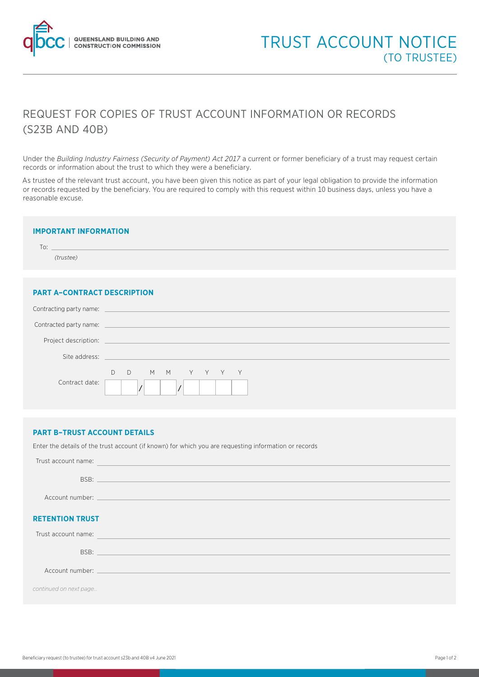

## REQUEST FOR COPIES OF TRUST ACCOUNT INFORMATION OR RECORDS (S23B AND 40B)

Under the *Building Industry Fairness (Security of Payment) Act 2017* a current or former beneficiary of a trust may request certain records or information about the trust to which they were a beneficiary.

As trustee of the relevant trust account, you have been given this notice as part of your legal obligation to provide the information or records requested by the beneficiary. You are required to comply with this request within 10 business days, unless you have a reasonable excuse.

| <b>IMPORTANT INFORMATION</b>       |  |  |
|------------------------------------|--|--|
| $\overline{10}$ : $\overline{10}$  |  |  |
| (trustee)                          |  |  |
|                                    |  |  |
|                                    |  |  |
| <b>PART A-CONTRACT DESCRIPTION</b> |  |  |
|                                    |  |  |

| Contracting party name: |                                                                                           |
|-------------------------|-------------------------------------------------------------------------------------------|
| Contracted party name:  | the control of the control of the control of the control of the control of the control of |
| Project description:    | the control of the control of the control of                                              |
| Site address:           | the control of the control of the control of the control of                               |
| Contract date:          | MMYYYY<br>$D$ $D$                                                                         |

## **PART B–TRUST ACCOUNT DETAILS**

Enter the details of the trust account (if known) for which you are requesting information or records

| Trust account name:    | <u> 1989 - Johann Stoff, Amerikaansk politiker (* 1908)</u>                                                                                                                                                                    |
|------------------------|--------------------------------------------------------------------------------------------------------------------------------------------------------------------------------------------------------------------------------|
|                        |                                                                                                                                                                                                                                |
|                        |                                                                                                                                                                                                                                |
| <b>RETENTION TRUST</b> |                                                                                                                                                                                                                                |
| Trust account name:    | <u> 1989 - Andrea Stadt Britain, amerikansk politik (d. 1989)</u>                                                                                                                                                              |
|                        |                                                                                                                                                                                                                                |
|                        | Account number: Account number of the contract of the contract of the contract of the contract of the contract of the contract of the contract of the contract of the contract of the contract of the contract of the contract |
| continued on next page |                                                                                                                                                                                                                                |